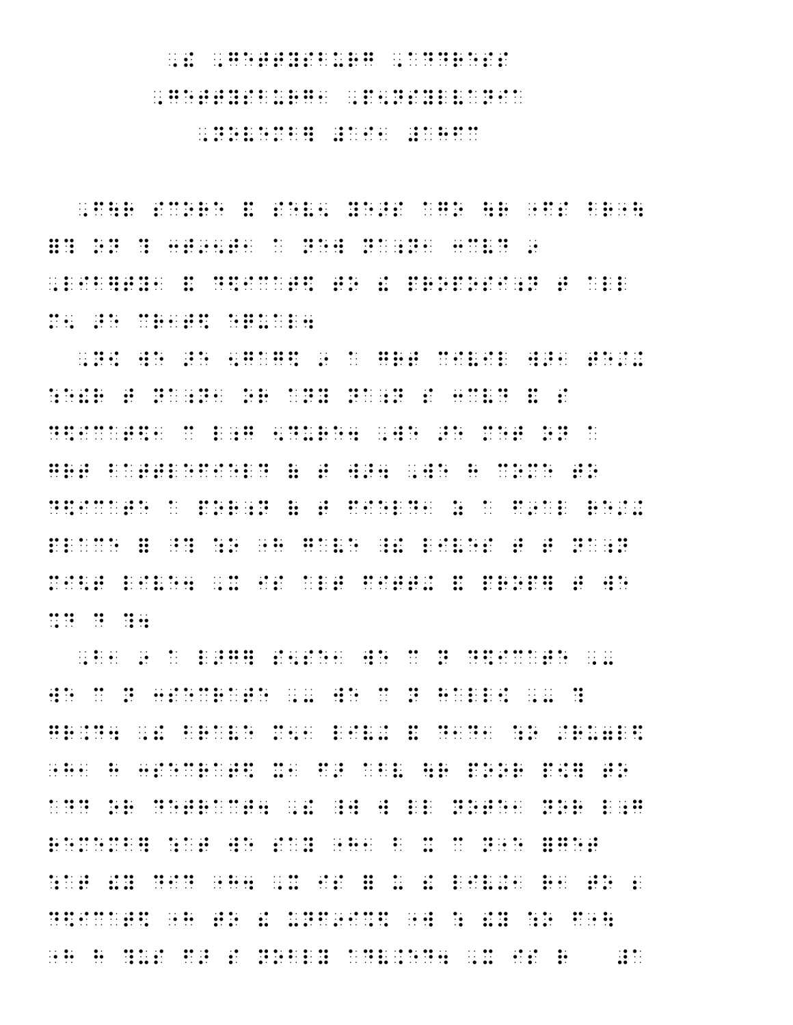inn 1968 - 1979 - 1989 - 1989 - 1989 - 1989 - 1989 - 1989 - 1989 - 1989 - 1989 - 1989 - 1989 - 1989 - 1989 - 1<br>1989 - 1989 - 1980 - 1980 - 1980 - 1980 - 1980 - 1980 - 1980 - 1980 - 1980 - 1980 - 1980 - 1980 - 1980 - 1980<br>1 1991 - 1992 - 1993 - 1994 - 1994 - 1995 - 1996 - 1996 - 1997 - 1998 - 1999 - 1999 - 1999 - 1999 - 1999 - 1999<br>1999 - 1996 - 1996 - 1996 - 1999 - 1999 - 1999 - 1999 - 1999 - 1999 - 1999 - 1999 - 1999 - 1999 - 1999 - 1999<br>19  $\ddot{\phantom{0}}$ inn de na de da da neillead i da da na da de ne da i lea de li lea la da de de de na na neilleal indicanta de<br>Inn de de da da na de li lei lea de de ne ne de da da na la la la da na de de de la la la da linn de de de de<br>In 

 $\ddot{\cdot}$ 22 23 23 24

<u> 1989 - 1989 - 1989 - 1989 - 1989 - 1989 - 1989 - 1989 - 1989 - 1989 - 1989 - 1989 - 1989 - 1989 - 1989 - 198</u>  $\ddot{\cdot}$ ide de la ciudad industriada el estas la ciudad en edicida de la ciudad de edicida en la ciudad en estas estas<br>1940 - La ciudad estados de la ciudad estas estas estas estas estas estas de estas estados de edicida estas e<br>1 1989 - 1989 - 1989 - 1989 - 1989 - 1989 - 1989 - 1989 - 1989 - 1989 - 1989 - 1989 - 1989 - 1989 - 1989 - 1989<br>1989 - 1989 - 1989 - 1989 - 1989 - 1989 - 1989 - 1989 - 1989 - 1989 - 1989 - 1989 - 1989 - 1989 - 1989 - 1989<br>19 in di la de de seguida de la de de de de de de de de la de de la de la la de la de la de la la la la de de la<br>1980 - La de la de la de la de la la de de la la la de la de la la la la de la de la la la la la la la la la<br>199